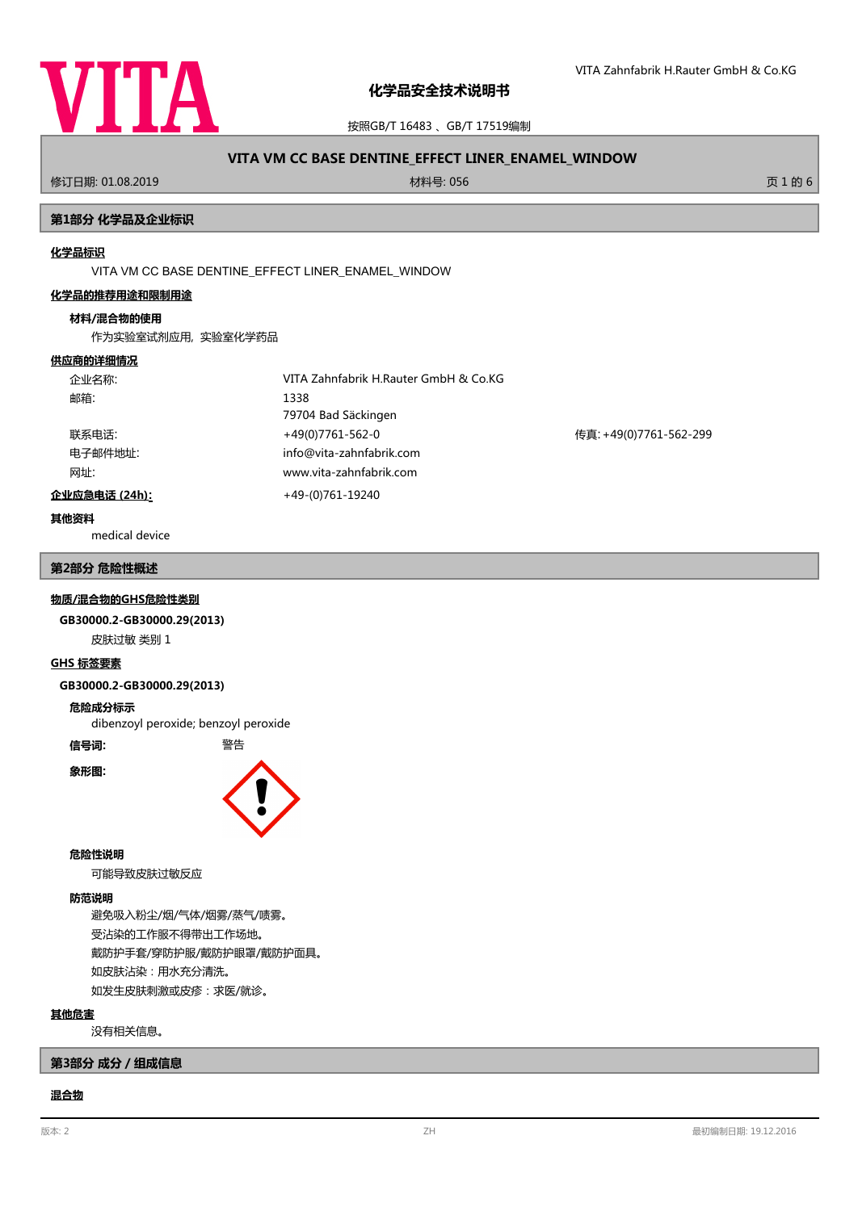

按照GB/T 16483 、GB/T 17519编制

# **VITA VM CC BASE DENTINE\_EFFECT LINER\_ENAMEL\_WINDOW**

修订日期: 01.08.2019 材料号: 056 页 1 的 6

#### **第1部分 化学品及企业标识**

#### **化学品标识**

VITA VM CC BASE DENTINE\_EFFECT LINER\_ENAMEL\_WINDOW

#### **化学品的推荐用途和限制用途**

#### **材料/混合物的使用**

作为实验室试剂应用, 实验室化学药品

#### **供应商的详细情况**

| 企业名称:         | VITA Zahnfabrik H.Rauter GmbH & Co.KG |                        |
|---------------|---------------------------------------|------------------------|
| 邮箱:           | 1338                                  |                        |
|               | 79704 Bad Säckingen                   |                        |
| 联系电话:         | +49(0)7761-562-0                      | 传真: +49(0)7761-562-299 |
| 电子邮件地址:       | info@vita-zahnfabrik.com              |                        |
| 网址:           | www.vita-zahnfabrik.com               |                        |
| 企业应急电话 (24h): | +49-(0)761-19240                      |                        |

#### **其他资料**

medical device

#### **第2部分 危险性概述**

#### **物质/混合物的GHS危险性类别**

**GB30000.2-GB30000.29(2013)**

皮肤过敏 类别 1

#### **GHS 标签要素**

**GB30000.2-GB30000.29(2013)**

#### **危险成分标示**

dibenzoyl peroxide; benzoyl peroxide

**信号词:** 警告

**象形图:**



#### **危险性说明**

可能导致皮肤过敏反应

#### **防范说明**

避免吸入粉尘/烟/气体/烟雾/蒸气/啧雾。 受沾染的工作服不得带出工作场地。 戴防护手套/穿防护服/戴防护眼罩/戴防护面具。 如皮肤沾染:用水充分清洗。 如发生皮肤刺激或皮疹:求医/就诊。

## **其他危害**

没有相关信息。

### **第3部分 成分/组成信息**

## **混合物**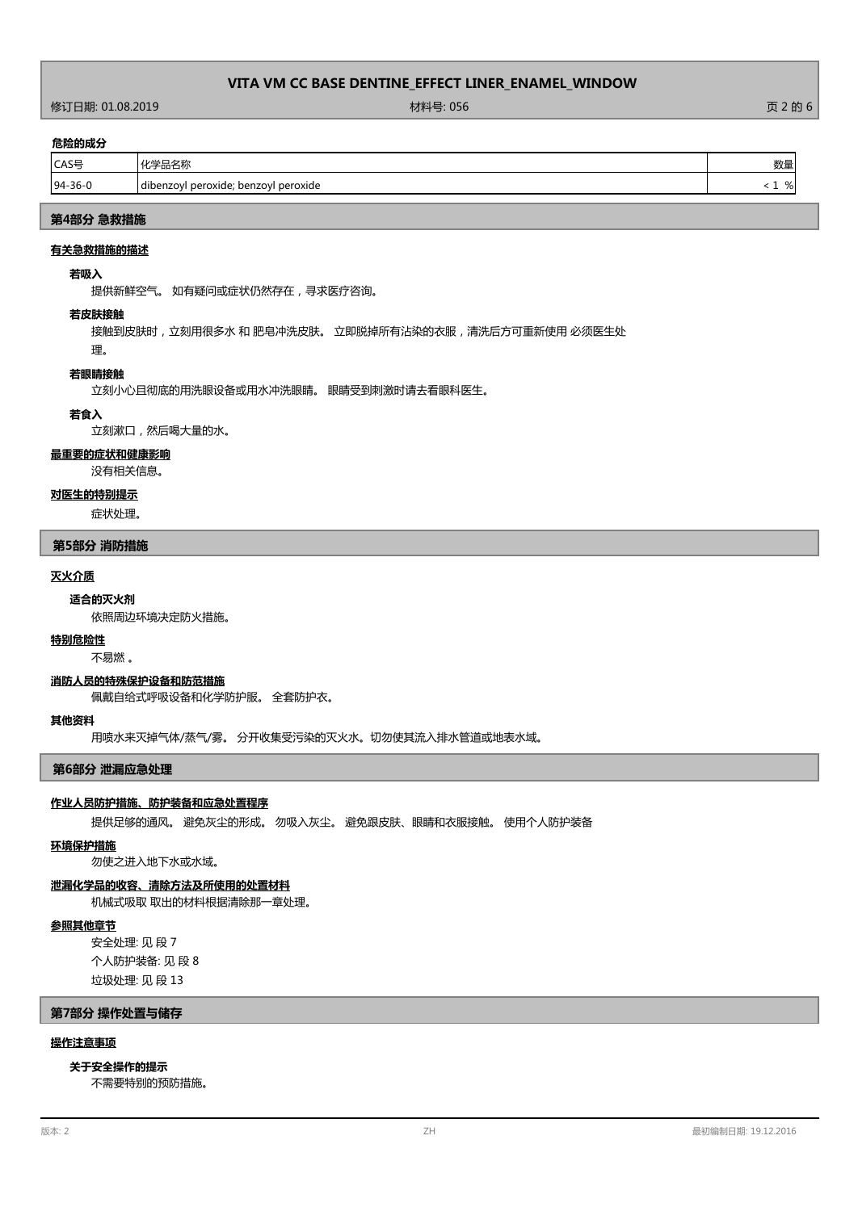修订日期: 01.08.2019 材料号: 056 页 2 的 6

#### **危险的成分**

| CAS号          | "帕白小                                                 | 数量 |
|---------------|------------------------------------------------------|----|
| $94 - 36 - 0$ | $\cdots$<br>peroxide; benzoyl peroxide<br> dibenzoyl | %  |
|               |                                                      |    |

## **第4部分 急救措施**

## **有关急救措施的描述**

#### **若吸入**

提供新鲜空气。 如有疑问或症状仍然存在,寻求医疗咨询。

#### **若皮肤接触**

接触到皮肤时,立刻用很多水和肥皂冲洗皮肤。 立即脱掉所有沾染的衣服,清洗后方可重新使用 必须医生处

# 理。

**若眼睛接触**

立刻小心且彻底的用洗眼设备或用水冲洗眼睛。 眼睛受到刺激时请去看眼科医生。

## **若食入**

立刻漱口,然后喝大量的水。

#### **最重要的症状和健康影响**

没有相关信息。

#### **对医生的特别提示**

症状处理。

#### **第5部分 消防措施**

#### **灭火介质**

### **适合的灭火剂**

依照周边环境决定防火措施。

#### **特别危险性**

不易燃 。

#### **消防人员的特殊保护设备和防范措施**

佩戴自给式呼吸设备和化学防护服。 全套防护衣。

#### **其他资料**

用喷水来灭掉气体/蒸气/雾。 分开收集受污染的灭火水。切勿使其流入排水管道或地表水域。

**第6部分 泄漏应急处理**

## **作业人员防护措施、防护装备和应急处置程序**

提供足够的通风。 避免灰尘的形成。 勿吸入灰尘。 避免跟皮肤、眼睛和衣服接触。 使用个人防护装备

#### **环境保护措施**

勿使之进入地下水或水域。

## **泄漏化学品的收容、清除方法及所使用的处置材料**

机械式吸取 取出的材料根据清除那一章处理。

## **参照其他章节**

安全处理: 见 段 7 个人防护装备: 见 段 8 垃圾处理: 见 段 13

## **第7部分 操作处置与储存**

## **操作注意事项**

**关于安全操作的提示**

不需要特别的预防措施。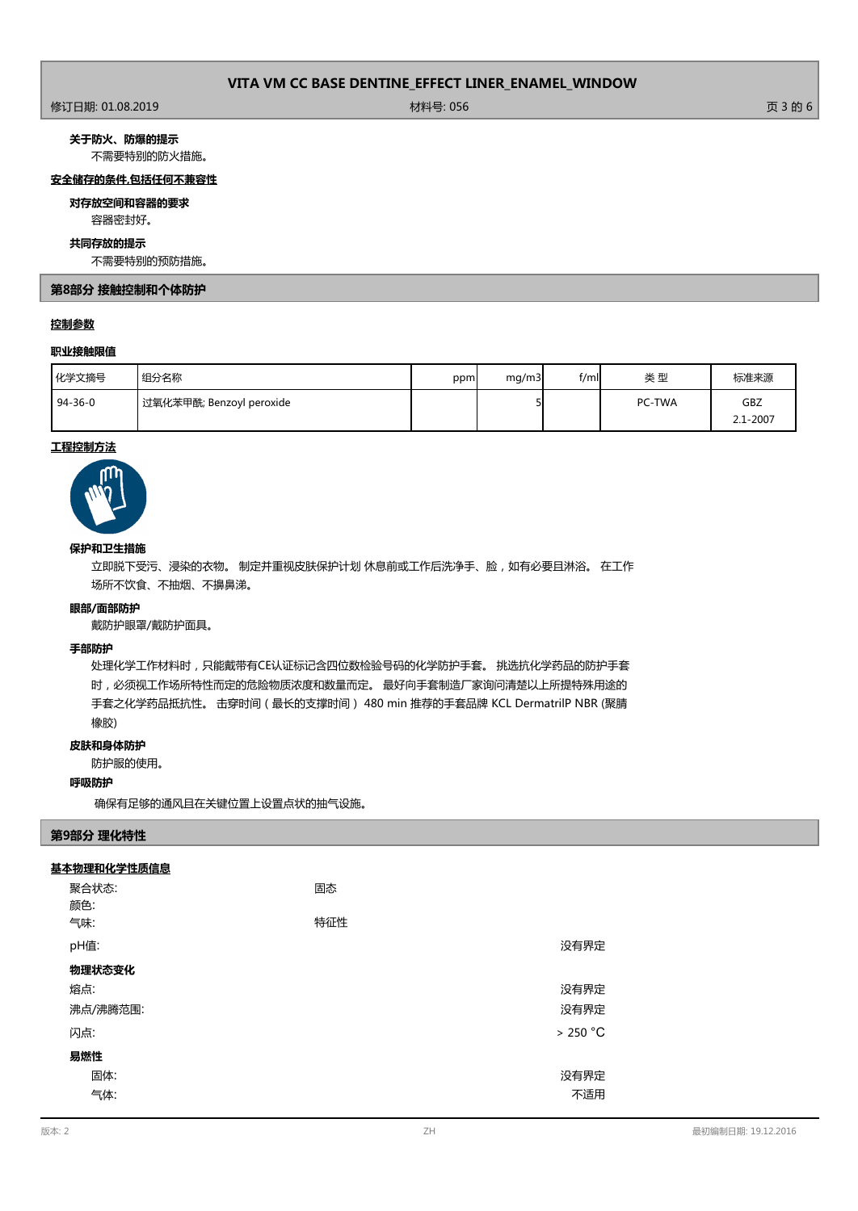## 修订日期: 01.08.2019 材料号: 056 页 3 的 6

## **关于防火、防爆的提示**

不需要特别的防火措施。

## **安全储存的条件,包括任何不兼容性**

**对存放空间和容器的要求**

#### 容器密封好。

**共同存放的提示**

不需要特别的预防措施。

## **第8部分 接触控制和个体防护**

## **控制参数**

## **职业接触限值**

| 化学文摘号   | 组分名称                     | ppm | mq/m3 | $f$ /mll | 类型     | 标准来源                |
|---------|--------------------------|-----|-------|----------|--------|---------------------|
| 94-36-0 | 过氧化苯甲酰; Benzoyl peroxide |     |       |          | PC-TWA | GBZ<br>$2.1 - 2007$ |

#### **工程控制方法**



#### **保护和卫生措施**

立即脱下受污、浸染的衣物。 制定并重视皮肤保护计划 休息前或工作后洗净手、脸,如有必要且淋浴。 在工作 场所不饮食、不抽烟、不擤鼻涕。

#### 戴防护眼罩/戴防护面具。 **眼部/面部防护**

**手部防护**

处理化学工作材料时,只能戴带有CE认证标记含四位数检验号码的化学防护手套。 挑选抗化学药品的防护手套 时,必须视工作场所特性而定的危险物质浓度和数量而定。 最好向手套制造厂家询问清楚以上所提特殊用途的 手套之化学药品抵抗性。 击穿时间(最长的支撑时间) 480 min 推荐的手套品牌 KCL DermatrilP NBR (聚腈 橡胶)

#### **皮肤和身体防护**

防护服的使用。

#### **呼吸防护**

确保有足够的通风且在关键位置上设置点状的抽气设施。

## **第9部分 理化特性**

#### **基本物理和化学性质信息**

| 聚合状态:<br>颜色: | 固态  |          |
|--------------|-----|----------|
| 气味:          | 特征性 |          |
| pH值:         |     | 没有界定     |
| 物理状态变化       |     |          |
| 熔点:          |     | 没有界定     |
| 沸点/沸腾范围:     |     | 没有界定     |
| 闪点:          |     | > 250 °C |
| 易燃性          |     |          |
| 固体:          |     | 没有界定     |
| 气体:          |     | 不适用      |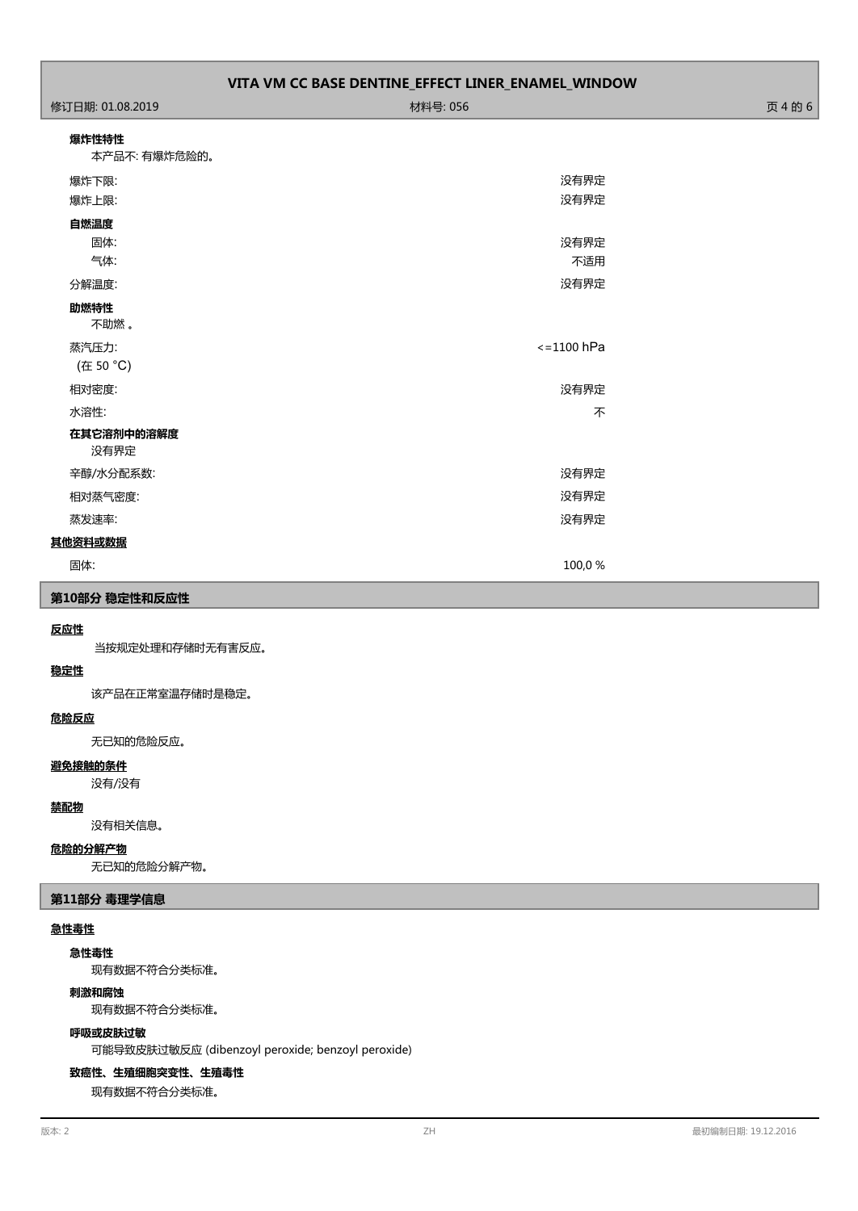#### **爆炸性特性**

本产品不: 有爆炸危险的。

| 爆炸下限:              | 没有界定             |
|--------------------|------------------|
| 爆炸上限:              | 没有界定             |
| 自燃温度               |                  |
| 固体:                | 没有界定             |
| 气体:                | 不适用              |
| 分解温度:              | 没有界定             |
| 助燃特性<br>不助燃。       |                  |
| 蒸汽压力:              | $\le$ = 1100 hPa |
| (在 50 °C)          |                  |
| 相对密度:              | 没有界定             |
| 水溶性:               | 不                |
| 在其它溶剂中的溶解度<br>没有界定 |                  |
| 辛醇/水分配系数:          | 没有界定             |
| 相对蒸气密度:            | 没有界定             |
| 蒸发速率:              | 没有界定             |
| 其他资料或数据            |                  |
| 固体:                | 100,0%           |

## **第10部分 稳定性和反应性**

#### **反应性**

当按规定处理和存储时无有害反应。

#### **稳定性**

该产品在正常室温存储时是稳定。

#### **危险反应**

无已知的危险反应。

## **避免接触的条件**

没有/没有

# **禁配物**

没有相关信息。

## **危险的分解产物**

无已知的危险分解产物。

## **第11部分 毒理学信息**

## **急性毒性**

**急性毒性**

现有数据不符合分类标准。

## **刺激和腐蚀**

现有数据不符合分类标准。

## **呼吸或皮肤过敏**

可能导致皮肤过敏反应 (dibenzoyl peroxide; benzoyl peroxide)

## **致癌性、生殖细胞突变性、生殖毒性**

现有数据不符合分类标准。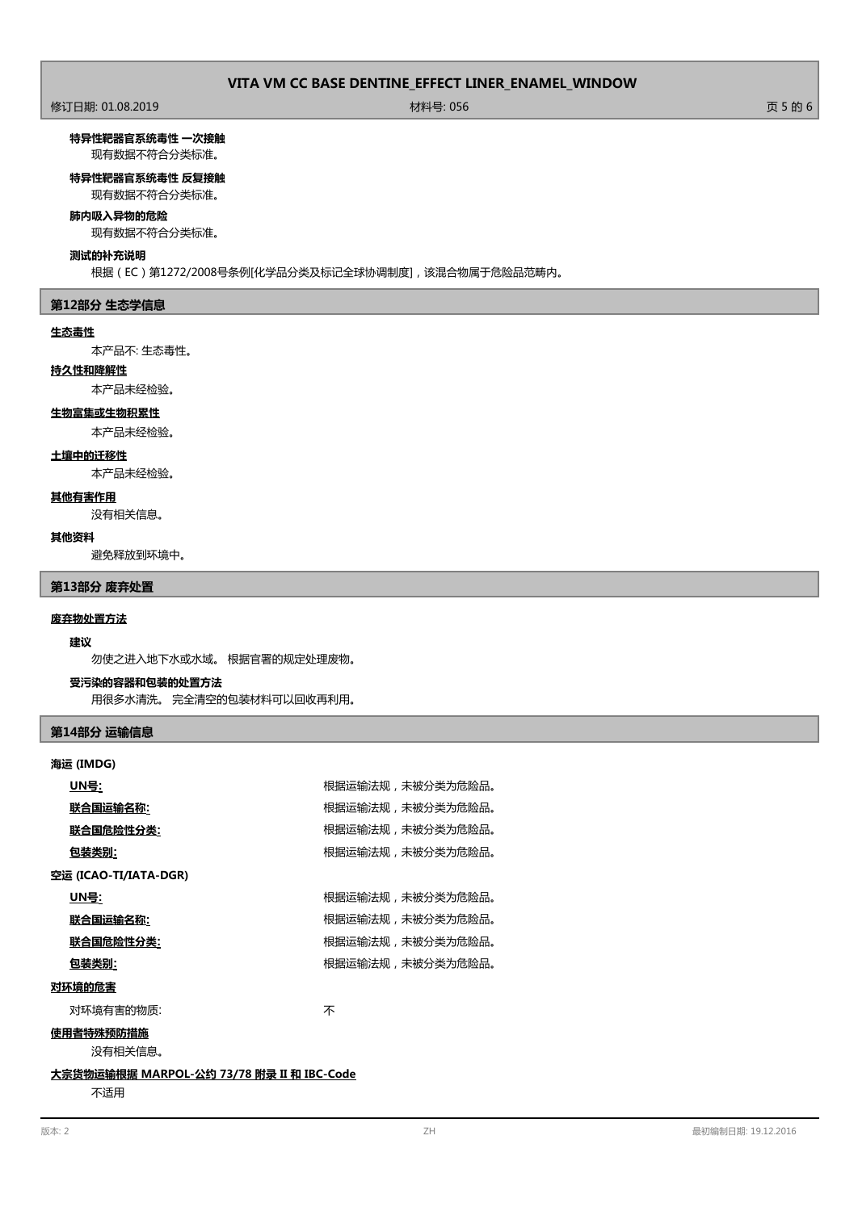## **特异性靶器官系统毒性 一次接触**

现有数据不符合分类标准。

## **特异性靶器官系统毒性 反复接触**

现有数据不符合分类标准。

#### **肺内吸入异物的危险**

现有数据不符合分类标准。

## **测试的补充说明**

根据(EC)第1272/2008号条例[化学品分类及标记全球协调制度],该混合物属于危险品范畴内。

#### **第12部分 生态学信息**

#### **生态毒性**

本产品不: 生态毒性。

## **持久性和降解性**

本产品未经检验。

## **生物富集或生物积累性**

本产品未经检验。

# **土壤中的迁移性**

本产品未经检验。

## **其他有害作用**

没有相关信息。

#### **其他资料**

避免释放到环境中。

#### **第13部分 废弃处置**

## **废弃物处置方法**

#### **建议**

勿使之进入地下水或水域。 根据官署的规定处理废物。

#### **受污染的容器和包装的处置方法**

用很多水清洗。 完全清空的包装材料可以回收再利用。

## **第14部分 运输信息**

#### **海运 (IMDG)**

| UN号:                  | 根据运输法规,未被分类为危险品。 |
|-----------------------|------------------|
| <u> 联合国运输名称:</u>      | 根据运输法规,未被分类为危险品。 |
| 联合国危险性分类:             | 根据运输法规,未被分类为危险品。 |
| <u>包装类别:</u>          | 根据运输法规,未被分类为危险品。 |
| 空运 (ICAO-TI/IATA-DGR) |                  |
| UN号:                  | 根据运输法规,未被分类为危险品。 |
| 联合国运输名称:              | 根据运输法规,未被分类为危险品。 |
| 联合国危险性分类:             | 根据运输法规,未被分类为危险品。 |
| 包装类别:                 | 根据运输法规,未被分类为危险品。 |
| 对环境的危害                |                  |
| 对环境有害的物质:             | 不                |
| 使用者特殊预防措施             |                  |
| 没有相关信息。               |                  |

## **大宗货物运输根据 MARPOL-公约 73/78 附录 II 和 IBC-Code**

不适用